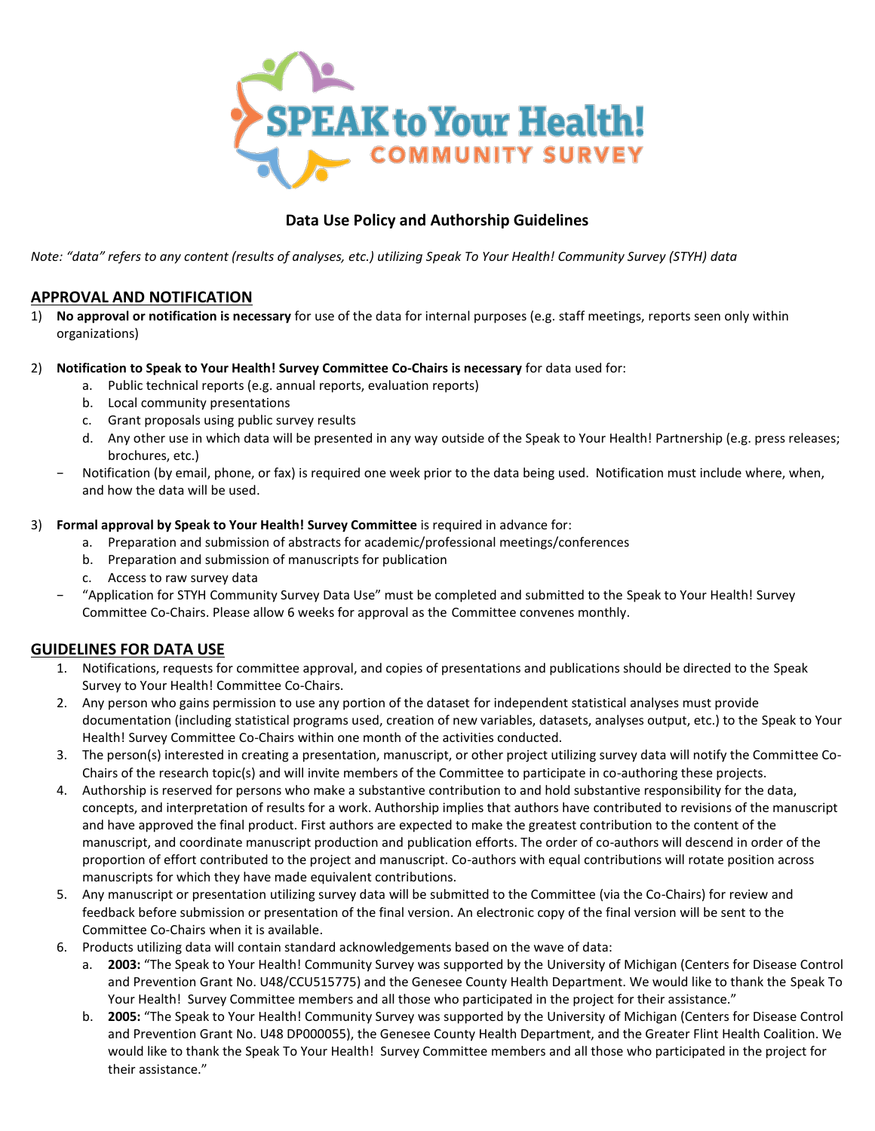

# **Data Use Policy and Authorship Guidelines**

*Note: "data" refers to any content (results of analyses, etc.) utilizing Speak To Your Health! Community Survey (STYH) data*

# **APPROVAL AND NOTIFICATION**

1) **No approval or notification is necessary** for use of the data for internal purposes (e.g. staff meetings, reports seen only within organizations)

## 2) **Notification to Speak to Your Health! Survey Committee Co-Chairs is necessary** for data used for:

- a. Public technical reports (e.g. annual reports, evaluation reports)
- b. Local community presentations
- c. Grant proposals using public survey results
- d. Any other use in which data will be presented in any way outside of the Speak to Your Health! Partnership (e.g. press releases; brochures, etc.)
- − Notification (by email, phone, or fax) is required one week prior to the data being used. Notification must include where, when, and how the data will be used.

## 3) **Formal approval by Speak to Your Health! Survey Committee** is required in advance for:

- a. Preparation and submission of abstracts for academic/professional meetings/conferences
- b. Preparation and submission of manuscripts for publication
- c. Access to raw survey data
- − "Application for STYH Community Survey Data Use" must be completed and submitted to the Speak to Your Health! Survey Committee Co-Chairs. Please allow 6 weeks for approval as the Committee convenes monthly.

# **GUIDELINES FOR DATA USE**

- 1. Notifications, requests for committee approval, and copies of presentations and publications should be directed to the Speak Survey to Your Health! Committee Co-Chairs.
- 2. Any person who gains permission to use any portion of the dataset for independent statistical analyses must provide documentation (including statistical programs used, creation of new variables, datasets, analyses output, etc.) to the Speak to Your Health! Survey Committee Co-Chairs within one month of the activities conducted.
- 3. The person(s) interested in creating a presentation, manuscript, or other project utilizing survey data will notify the Committee Co-Chairs of the research topic(s) and will invite members of the Committee to participate in co-authoring these projects.
- 4. Authorship is reserved for persons who make a substantive contribution to and hold substantive responsibility for the data, concepts, and interpretation of results for a work. Authorship implies that authors have contributed to revisions of the manuscript and have approved the final product. First authors are expected to make the greatest contribution to the content of the manuscript, and coordinate manuscript production and publication efforts. The order of co-authors will descend in order of the proportion of effort contributed to the project and manuscript. Co-authors with equal contributions will rotate position across manuscripts for which they have made equivalent contributions.
- 5. Any manuscript or presentation utilizing survey data will be submitted to the Committee (via the Co-Chairs) for review and feedback before submission or presentation of the final version. An electronic copy of the final version will be sent to the Committee Co-Chairs when it is available.
- 6. Products utilizing data will contain standard acknowledgements based on the wave of data:
	- a. **2003:** "The Speak to Your Health! Community Survey was supported by the University of Michigan (Centers for Disease Control and Prevention Grant No. U48/CCU515775) and the Genesee County Health Department. We would like to thank the Speak To Your Health! Survey Committee members and all those who participated in the project for their assistance."
	- b. **2005:** "The Speak to Your Health! Community Survey was supported by the University of Michigan (Centers for Disease Control and Prevention Grant No. U48 DP000055), the Genesee County Health Department, and the Greater Flint Health Coalition. We would like to thank the Speak To Your Health! Survey Committee members and all those who participated in the project for their assistance."